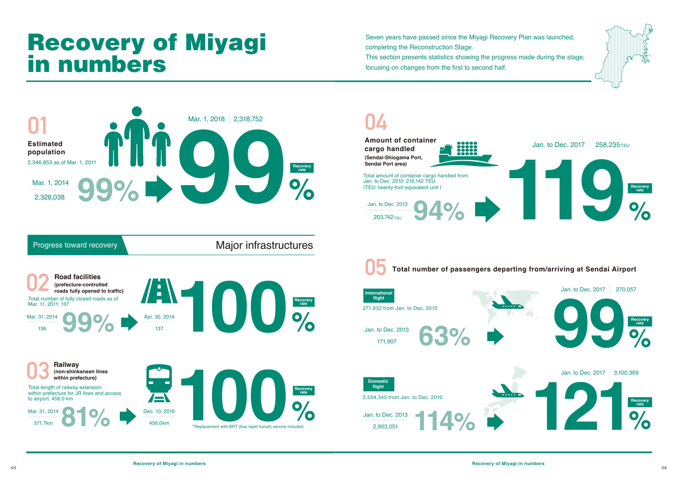# Recovery of Miyagi in numbers



Seven years have passed since the Miyagi Recovery Plan was launched, completing the Reconstruction Stage. This section presents statistics showing the progress made during the stage, focusing on changes from the first to second half.

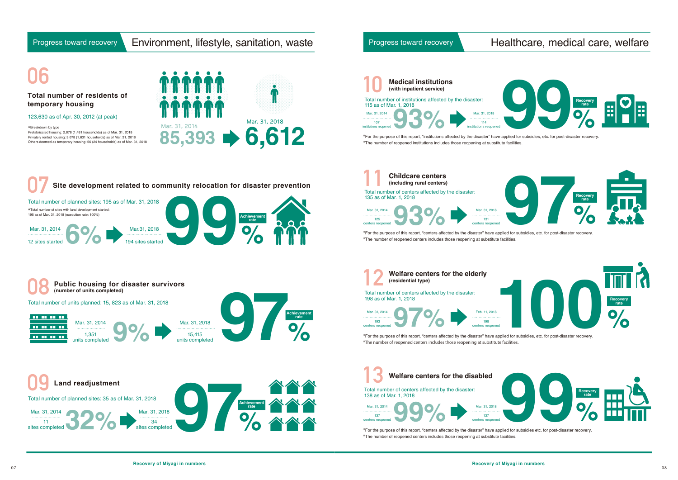## Progress toward recovery **Environment, lifestyle, sanitation, waste**

## Progress toward recovery Healthcare, medical care, welfare

# **06**

123,630 as of Apr. 30, 2012 (at peak)



### **Total number of residents of temporary housing**

\*Breakdown by type Prefabricated housing: 2,878 (1,481 households) as of Mar. 31, 2018 Privately rented housing: 3,678 (1,631 households) as of Mar. 31, 2018 Others deemed as temporary housing: 56 (24 households) as of Mar. 31, 2018





\*For the purpose of this report, "centers affected by the disaster" have applied for subsidies, etc. for post-disaster recovery. \*The number of reopened centers includes those reopening at substitute facilities.

\*For the purpose of this report, "centers affected by the disaster" have applied for subsidies etc. for post-disaster recovery. \*The number of reopened centers includes those reopening at substitute facilities.

\*For the purpose of this report, "centers affected by the disaster" have applied for subsidies, etc. for post-disaster recovery. \*The number of reopened centers includes those reopening at substitute facilities.







\*For the purpose of this report, "institutions affected by the disaster" have applied for subsidies, etc. for post-disaster recovery. \*The number of reopened institutions includes those reopening at substitute facilities.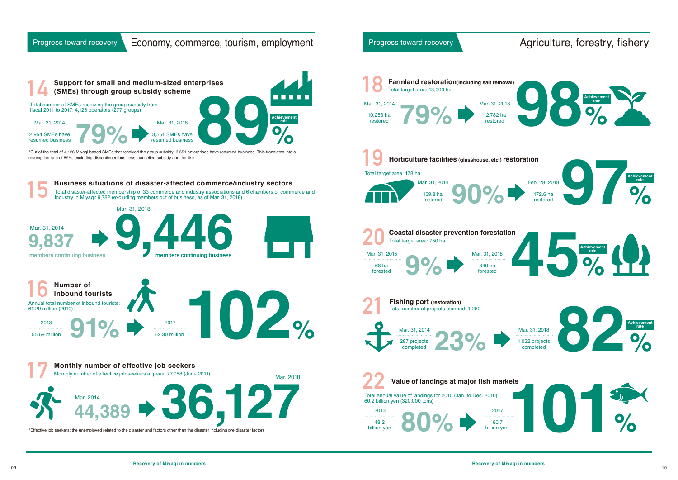### Progress toward recovery | Economy, commerce, tourism, employment